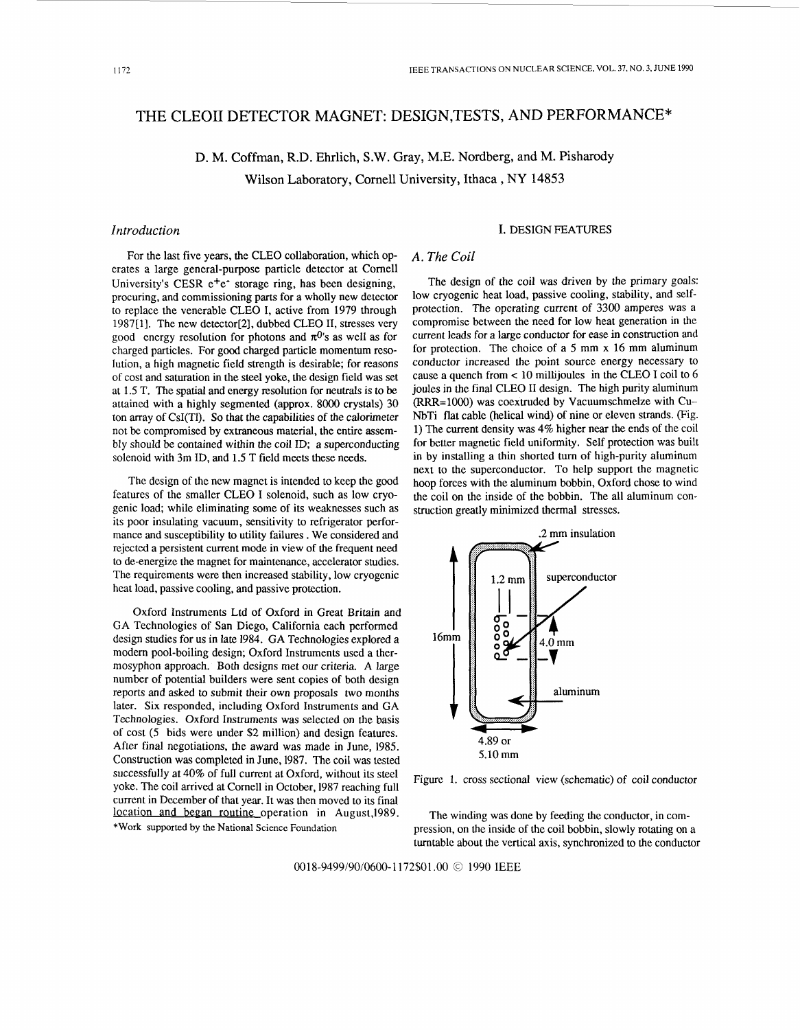# THE CLEOII DETECTOR MAGNET: DESIGN,TESTS, AND PERFORMANCE\*

D. M. Coffman, R.D. Ehrlich, S.W. Gray, M.E. Nordberg, and M. Pisharody Wilson Laboratory, Cornell University, Ithaca , **NY** 14853

For the last five years, the CLEO collaboration, which operates a large general-purpose particle detector at Cornell University's CESR  $e^+e^-$  storage ring, has been designing, procuring, and commissioning parts for a wholly new detector to replace the venerable CLEO I, active from 1979 through 1987[1]. The new detector[2], dubbed CLEO 11, stresses very good energy resolution for photons and  $\pi^{0}$ 's as well as for charged particles. For good charged particle momentum resolution, a high magnetic field strength is desirable; for reasons of cost and saturation in the steel yoke, the design field was set at 1.5 T. The spatial and energy resolution for neutrals is to be attained with a highly segmented (approx. 8000 crystals) 30 ton array of CsI(T1). *So* that the capabilities of the calorimeter not be compromised by extraneous material, the entire assembly should be contained within the coil ID; a superconducting solenoid with 3m ID. and 1.5 T field meets these needs.

The design of the new magnet is intended to keep the good features of the smaller CLEO I solenoid, such as low cryogenic load; while eliminating some of its weaknesses such as its poor insulating vacuum, sensitivity to refrigerator performance and susceptibility to utility failures . We considered and rejected a persistent current mode in view of the frequent need to de-energize the magnet for maintenance, accelerator studies. The requirements were then increased stability, low cryogenic heat load, passive cooling, and passive protection.

Oxford Instruments Ltd of Oxford in Great Britain and GA Technologies of San Diego, California each performed design studies for **us** in late 1984. GA Technologies explored a modem pool-boiling design; Oxford Instruments used a thermosyphon approach. Both designs met our criteria. A large number of potential builders were sent copies of both design reports and asked to submit their own proposals two months later. Six responded, including Oxford Instruments and GA Technologies. Oxford Instruments was selected on the basis of cost (5 bids were under \$2 million) and design features. After final negotiations, the award was made in June, 1985. Construction was completed in June, 1987. The coil was tested successfully at 40% of full current at Oxford, without its steel yoke. The coil arrived at Cornell in October, 1987 reaching full Figure 1. cross sectional view (schematic) of coil conductor yoke. The coil arrived at Cornell in October, 1987 reaching full current in December of that year. It was then moved to itsfinal location and began routine operation in August, 1989. **\*Work** supported by the National Science Foundation

## *Introduction* **I.** DESIGN FEATURES

## *A. The Coil*

The design of the coil was driven by the primary goals: low cryogenic heat load, passive cooling, stability, and selfprotection. The operating current of 3300 amperes was a compromise between the need for low heat generation in the current leads for a large conductor for *ease* in construction and for protection. The choice of a *5* mm x 16 mm aluminum conductor increased the point source energy necessary to cause a quench from **e** 10 millijoules in the CLEO I coil to 6 joules in the final CLEO II design. The high purity aluminum (RRR=lOOO) was coextruded by Vacuumschmelze with Cu-NbTi flat cable (helical wind) of nine or eleven strands. (Fig. **1)** The current density was 4% higher near the ends of the coil for better magnetic field uniformity. Self protection was built in by installing a thin shorted turn of high-purity aluminum next to the superconductor. To help support the magnetic hoop forces with the aluminum bobbin, Oxford chose to wind the coil on the inside of the bobbin. The all aluminum construction greatly minimized thermal stresses.



The winding was done by feeding the conductor, in compression, on the inside of the coil bobbin, slowly rotating on a turntable about the vertical axis, synchronized to the conductor

0018-9499/90/0600-1172\$01.00 © 1990 IEEE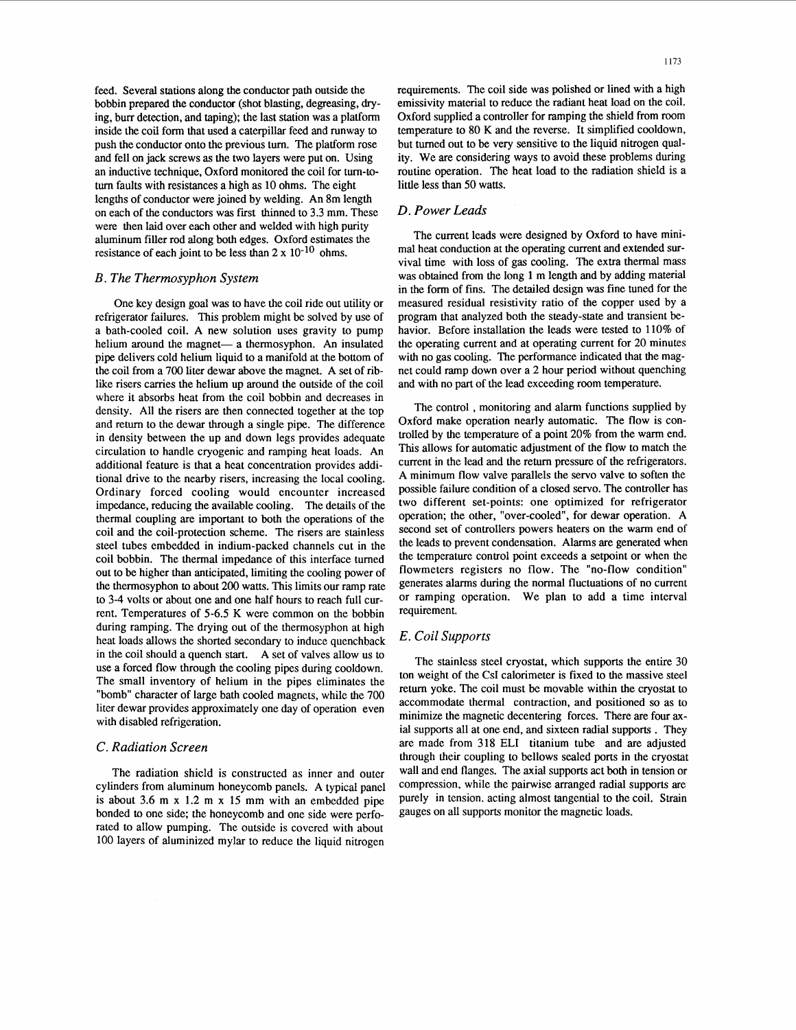feed. Several stations along the conductor path outside the bobbin prepared the conductor (shot blasting, degreasing, *dry*ing, burr detection, and taping); the last station was a platform inside the coil form that used a caterpillar feed and runway to push the conductor onto the previous turn. The platform rose and fell on jack screws as the two layers were put on. Using an inductive technique, Oxford monitored the coil for turn-totum faults with resistances a high as 10 ohms. The eight lengths of conductor were joined by welding. An 8m length on each of the conductors was first thinned to **3.3** mm. These were then laid over each other and welded with high purity aluminum filler rod along both edges. Oxford estimates the resistance of each joint to be less than  $2 \times 10^{-10}$  ohms.

## *B. The Thermosyphon System*

One key design goal was to have the coil ride out utility or refrigerator failures. This problem might be solved by use of a bath-cooled coil. A new solution uses gravity to pump helium around the magnet- a thermosyphon. An insulated pipe delivers cold helium liquid to a manifold at the bottom of the coil from a 700 liter dewar above the magnet. A set of riblike risers carries the helium up around the outside of the coil where it absorbs heat from the coil bobbin and decreases in density. All the risers are then connected together at the top and return to the dewar through a single pipe. The difference in density between the up and down legs provides adequate circulation to handle cryogenic and ramping heat loads. *An*  additional feature is that a heat concentration provides additional drive to the nearby risers, increasing the local cooling. Ordinary forced cooling would encounter increased impedance, reducing the available cooling. The details of the thermal coupling are important to both the operations of the coil and the coil-protection scheme. The risers are stainless steel tubes embedded in indium-packed channels cut in the coil bobbin. The thermal impedance of this interface turned out to be higher than anticipated, limiting the cooling power of the thermosyphon to about 200 watts. This limits our ramp rate to **3-4** volts or about one and one half hours to reach full current. Temperatures of **5-6.5** K were common on the bobbin during ramping. The drying out of the thermosyphon at high heat loads allows the shorted secondary to induce quenchback in the coil should a quench start. A set of valves allow us to use a forced flow through the cooling pipes during cooldown. The small inventory of helium in the pipes eliminates the "bomb" character of large bath cooled magnets, while the 700 liter dewar provides approximately one day of operation even with disabled refrigeration.

## *C. Radiation Screen*

The radiation shield is constructed as inner and outer cylinders from aluminum honeycomb panels. A typical panel is about **3.6** m x 1.2 m x 15 mm with an embedded pipe bonded to one side; the honeycomb and one side were perforated to allow pumping. The outside is covered with about 100 layers of aluminized mylar to reduce the liquid nitrogen

requirements. The coil side was polished or lined with a high emissivity material to reduce the radiant heat load on the coil. Oxford supplied a controller for ramping the shield from room temperature to 80 K and the reverse. It simplified cooldown, but turned out to be very sensitive to the liquid nitrogen quality. We are considering ways to avoid these problems during routine operation. The heat load to the radiation shield is a little less than 50 watts.

## *D. Power Leads*

The current leads were designed by Oxford to have minimal heat conduction at the operating current and extended survival time with loss of **gas** cooling. The extra thermal mass was obtained from the long **1** m length and by adding material in the form of fins. The detailed design was fine tuned for the measured residual resistivity ratio of the copper used by a program that analyzed both the steady-state and transient behavior. Before installation the leads were tested to 110% of the operating current and at operating current for 20 minutes with no gas cooling. The performance indicated that the magnet could ramp down over a 2 hour period without quenching and with no part of the lead exceeding room temperature.

The control , monitoring and alarm functions supplied by Oxford make operation nearly automatic. The flow is controlled by the temperature of a point 20% from the warm end. This allows for automatic adjustment of the flow to match the current in the lead and the return pressure of the refrigerators. A minimum flow valve parallels the servo valve to soften the possible failure condition of a closed servo. The controller has two different set-points: one optimized for refrigerator operation; the other, "over-cooled", for dewar operation. A second set of controllers powers heaters on the **warm** end of the leads to prevent condensation. Alarms are generated when the temperature control point exceeds a setpoint or when the flowmeters registers no flow. The "no-flow condition" generates alarms during the normal fluctuations of no current or ramping operation. We plan to add a time interval requirement.

## *E. Coil Supports*

The stainless steel cryostat, which supports the entire 30 ton weight of the **CsI** calorimeter is fixed to the massive steel return yoke. The coil must be movable within the cryostat to accommodate thermal contraction, and positioned so as to minimize the magnetic decentering forces. There are four axial supports all at one end, and sixteen radial supports . They are made from 318 ELI titanium tube and are adjusted through their coupling to bellows sealed ports in the cryostat wall and end flanges. The axial supports act both in tension or compression, while the pairwise arranged radial supports are purely in tension. acting almost tangential to the coil. Strain gauges on all supports monitor the magnetic loads.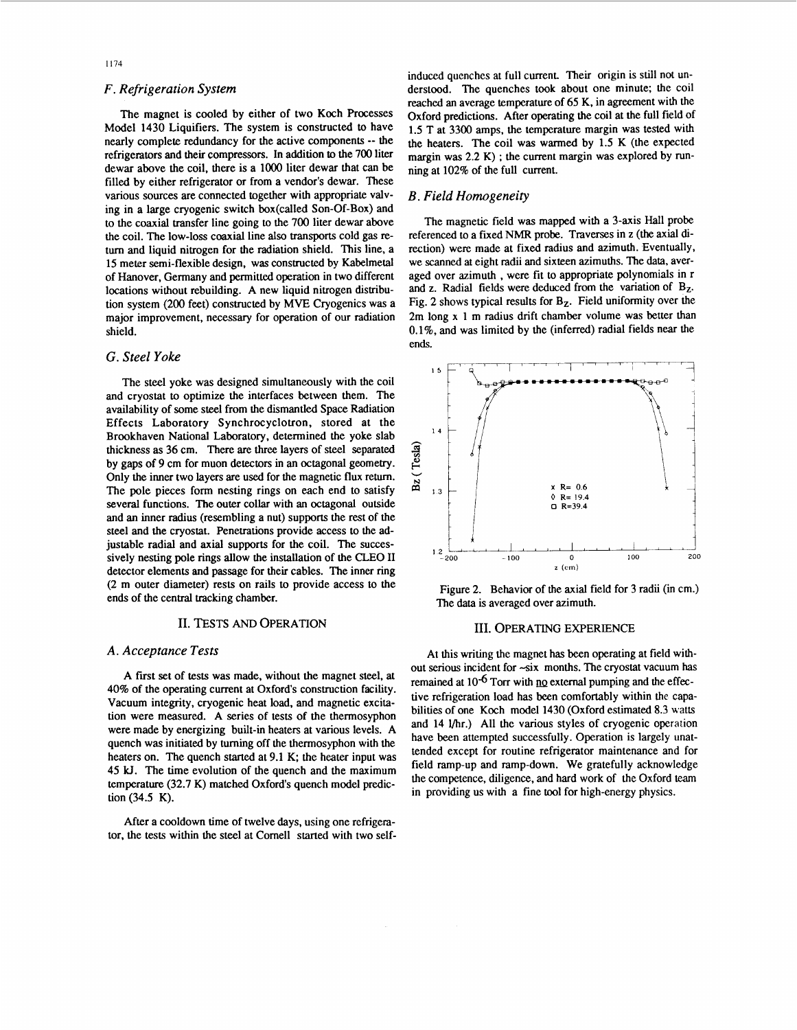## *F. Refrigeration System*

The magnet is cooled by either of two Koch Processes Model **1430** Liquifiers. The system is constructed to have nearly complete redundancy for the active components -- the refrigerators and their compressors. In addition **to** the **700** liter dewar above the coil, there is a **lo00** liter dewar that can be filled by either refrigerator or from a vendor's dewar. These various sources are connected together with appropriate valving in a large cryogenic switch box(called Son-Of-Box) and to the coaxial transfer line going to the **700** liter dewar above the coil. The low-loss coaxial line also **transports** cold gas return and liquid nitrogen for the radiation shield. This line, a **15** meter semi-flexible design, was constructed by Kabelmetal of Hanover, Germany and permitted operation in two different locations without rebuilding. A new liquid nitrogen distribution system **(200** feet) constructed by **MVE** Cryogenics was a major improvement, necessary for operation of our radiation shield.

## *G. Steel Yoke*

The steel yoke was designed simultaneously with the coil and cryostat to optimize the interfaces between them. The availability of some steel from the dismantled Space Radiation Effects Laboratory Synchrocyclotron, stored at the Brookhaven National Laboratory, determined the yoke slab thickness **as 36** cm. There **are** *three* layers of steel separated by gaps of **9** cm for muon detectors in an octagonal geometry. Only the inner two layers are used for the magnetic flux return. The pole pieces form nesting rings on each end to satisfy several functions. The outer collar with an octagonal outside and an inner radius (resembling a nut) supports the rest of the steel and the cryostat. Penetrations provide access to the adjustable radial and axial supports for the coil. The successively nesting pole rings allow the installation of the CLEO I1 detector elements and passage for their cables. The inner ring **(2** m outer diameter) rests on rails to provide access to the ends of the central tracking chamber.

## 11. TESTS *AND* OPERATION

## *A. Acceptance Tests*

A first set of tests was made, without the magnet steel, at 40% of the operating current at Oxford's construction facility. Vacuum integrity, cryogenic heat load, and magnetic excitation were measured. A series of tests of the thermosyphon were made by energizing built-in heaters at various levels. A quench was initiated by turning off the thermosyphon with the heaters on. The quench started at **9.1** K; the heater input was **45 U.** The time evolution of the quench and the maximum temperature (32.7 K) matched Oxford's quench model prediction(34.5 K).

After a cooldown time of twelve days, using one refrigerator, the tests within the steel at Cornel1 started with two selfinduced quenches at full current. Their origin is still not understood. The quenches took about one minute; the coil reached an average temperature of *65* K, in agreement with the Oxford predictions. After operating the coil at the full field of **1.5** T at **3300** amps. the temperature margin was tested with the heaters. The coil was warmed by **1.5** K (the expected margin was **2.2** K) ; the current margin was explored by running at **102%** of the full current.

## *B. Field Homogeneity*

The magnetic field was mapped with a 3-axis Hall probe referenced to a fixed NMR probe. Traverses in z (the axial direction) were made at fixed radius and azimuth. Eventually, we scanned **at** eight radii and sixteen azimuths. The **data,** averaged over azimuth , were fit to appropriate polynomials in r and z. Radial fields were deduced from the variation of  $B_{Z}$ . Fig. 2 shows typical results for B<sub>Z</sub>. Field uniformity over the **2m** long x **1** m radius drift chamber volume was better than **0.1%,** and was limited by the (inferred) radial fields near the ends.



Figure 2. Behavior of the axial field for 3 radii (in cm.) The data is averaged over azimuth.

#### 111. OPERATING EXPERIENCE

At this writing the magnet has been operating at field without serious incident for -six months. The cryostat vacuum **has**  remained at  $10^{-6}$  Torr with  $\overline{p}$  external pumping and the effective refrigeration load has been comfortably within the capabilities of one Koch model **1430** (Oxford estimated **8.3** watts and **14** l/hr.) All the various styles of cryogenic operation have been attempted successfully. Operation is largely unattended except for routine refrigerator maintenance and for field ramp-up and ramp-down. We gratefully acknowledge the competence, diligence, and hard work of the Oxford team in providing us with a fine tool for high-energy physics.